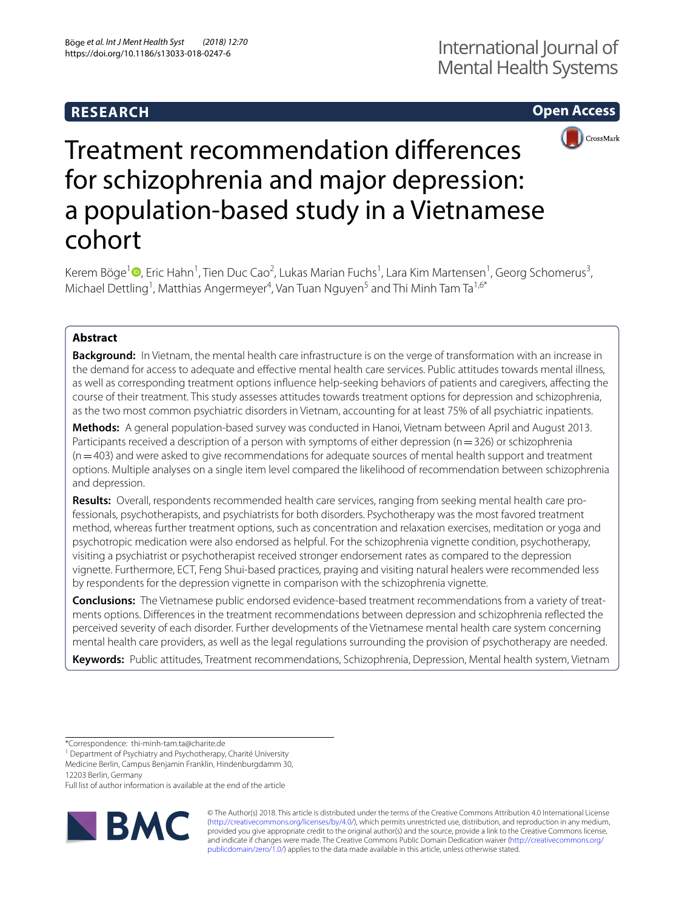# **RESEARCH**





# Treatment recommendation diferences for schizophrenia and major depression: a population-based study in a Vietnamese cohort

Kerem Böge<sup>1</sup> <sup>(D</sup>)[,](http://orcid.org/0000-0001-8263-4936) Eric Hahn<sup>1</sup>, Tien Duc Cao<sup>2</sup>, Lukas Marian Fuchs<sup>1</sup>, Lara Kim Martensen<sup>1</sup>, Georg Schomerus<sup>3</sup>, Michael Dettling<sup>1</sup>, Matthias Angermeyer<sup>4</sup>, Van Tuan Nguyen<sup>5</sup> and Thi Minh Tam Ta<sup>1,6\*</sup>

## **Abstract**

**Background:** In Vietnam, the mental health care infrastructure is on the verge of transformation with an increase in the demand for access to adequate and efective mental health care services. Public attitudes towards mental illness, as well as corresponding treatment options infuence help-seeking behaviors of patients and caregivers, afecting the course of their treatment. This study assesses attitudes towards treatment options for depression and schizophrenia, as the two most common psychiatric disorders in Vietnam, accounting for at least 75% of all psychiatric inpatients.

**Methods:** A general population-based survey was conducted in Hanoi, Vietnam between April and August 2013. Participants received a description of a person with symptoms of either depression ( $n=326$ ) or schizophrenia  $(n=403)$  and were asked to give recommendations for adequate sources of mental health support and treatment options. Multiple analyses on a single item level compared the likelihood of recommendation between schizophrenia and depression.

**Results:** Overall, respondents recommended health care services, ranging from seeking mental health care professionals, psychotherapists, and psychiatrists for both disorders. Psychotherapy was the most favored treatment method, whereas further treatment options, such as concentration and relaxation exercises, meditation or yoga and psychotropic medication were also endorsed as helpful. For the schizophrenia vignette condition, psychotherapy, visiting a psychiatrist or psychotherapist received stronger endorsement rates as compared to the depression vignette. Furthermore, ECT, Feng Shui-based practices, praying and visiting natural healers were recommended less by respondents for the depression vignette in comparison with the schizophrenia vignette.

**Conclusions:** The Vietnamese public endorsed evidence-based treatment recommendations from a variety of treatments options. Diferences in the treatment recommendations between depression and schizophrenia refected the perceived severity of each disorder. Further developments of the Vietnamese mental health care system concerning mental health care providers, as well as the legal regulations surrounding the provision of psychotherapy are needed.

**Keywords:** Public attitudes, Treatment recommendations, Schizophrenia, Depression, Mental health system, Vietnam

Medicine Berlin, Campus Benjamin Franklin, Hindenburgdamm 30,

Full list of author information is available at the end of the article



© The Author(s) 2018. This article is distributed under the terms of the Creative Commons Attribution 4.0 International License [\(http://creativecommons.org/licenses/by/4.0/\)](http://creativecommons.org/licenses/by/4.0/), which permits unrestricted use, distribution, and reproduction in any medium, provided you give appropriate credit to the original author(s) and the source, provide a link to the Creative Commons license, and indicate if changes were made. The Creative Commons Public Domain Dedication waiver ([http://creativecommons.org/](http://creativecommons.org/publicdomain/zero/1.0/) [publicdomain/zero/1.0/](http://creativecommons.org/publicdomain/zero/1.0/)) applies to the data made available in this article, unless otherwise stated.

<sup>\*</sup>Correspondence: thi-minh-tam.ta@charite.de 1

<sup>&</sup>lt;sup>1</sup> Department of Psychiatry and Psychotherapy, Charité University

<sup>12203</sup> Berlin, Germany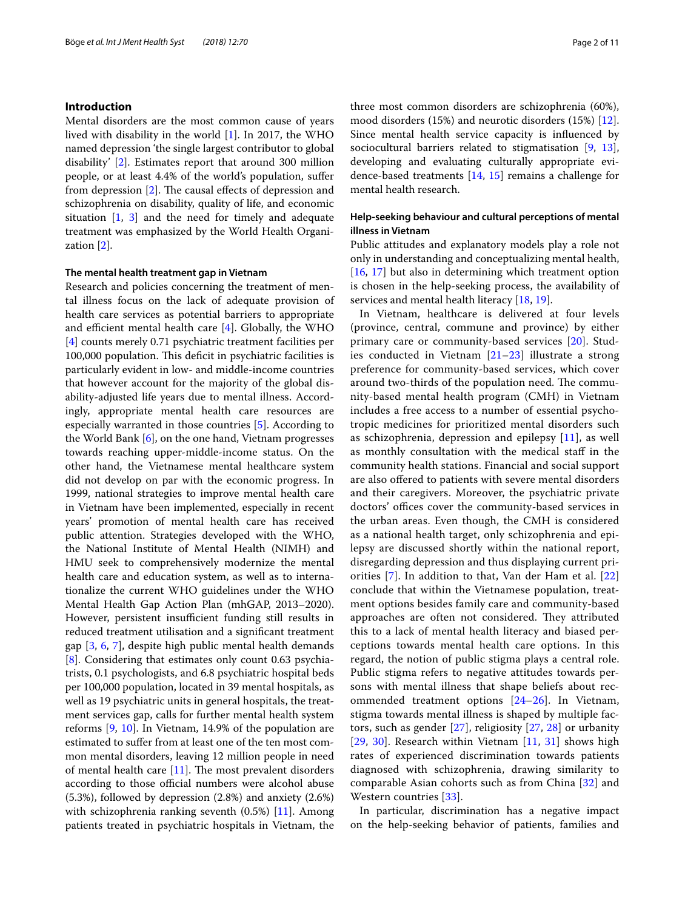## **Introduction**

Mental disorders are the most common cause of years lived with disability in the world [\[1](#page-9-0)]. In 2017, the WHO named depression 'the single largest contributor to global disability' [[2\]](#page-9-1). Estimates report that around 300 million people, or at least 4.4% of the world's population, sufer from depression  $[2]$  $[2]$  $[2]$ . The causal effects of depression and schizophrenia on disability, quality of life, and economic situation  $\begin{bmatrix} 1, 3 \end{bmatrix}$  $\begin{bmatrix} 1, 3 \end{bmatrix}$  $\begin{bmatrix} 1, 3 \end{bmatrix}$  and the need for timely and adequate treatment was emphasized by the World Health Organization [[2](#page-9-1)].

#### **The mental health treatment gap in Vietnam**

Research and policies concerning the treatment of mental illness focus on the lack of adequate provision of health care services as potential barriers to appropriate and efficient mental health care  $[4]$  $[4]$ . Globally, the WHO [[4\]](#page-9-3) counts merely 0.71 psychiatric treatment facilities per 100,000 population. This deficit in psychiatric facilities is particularly evident in low- and middle-income countries that however account for the majority of the global disability-adjusted life years due to mental illness. Accordingly, appropriate mental health care resources are especially warranted in those countries [[5\]](#page-9-4). According to the World Bank [[6\]](#page-9-5), on the one hand, Vietnam progresses towards reaching upper-middle-income status. On the other hand, the Vietnamese mental healthcare system did not develop on par with the economic progress. In 1999, national strategies to improve mental health care in Vietnam have been implemented, especially in recent years' promotion of mental health care has received public attention. Strategies developed with the WHO, the National Institute of Mental Health (NIMH) and HMU seek to comprehensively modernize the mental health care and education system, as well as to internationalize the current WHO guidelines under the WHO Mental Health Gap Action Plan (mhGAP, 2013–2020). However, persistent insufficient funding still results in reduced treatment utilisation and a signifcant treatment gap [\[3](#page-9-2), [6,](#page-9-5) [7\]](#page-9-6), despite high public mental health demands [[8\]](#page-9-7). Considering that estimates only count 0.63 psychiatrists, 0.1 psychologists, and 6.8 psychiatric hospital beds per 100,000 population, located in 39 mental hospitals, as well as 19 psychiatric units in general hospitals, the treatment services gap, calls for further mental health system reforms [\[9,](#page-9-8) [10](#page-9-9)]. In Vietnam, 14.9% of the population are estimated to sufer from at least one of the ten most common mental disorders, leaving 12 million people in need of mental health care  $[11]$ . The most prevalent disorders according to those official numbers were alcohol abuse (5.3%), followed by depression (2.8%) and anxiety (2.6%) with schizophrenia ranking seventh  $(0.5%)$  [\[11](#page-9-10)]. Among patients treated in psychiatric hospitals in Vietnam, the three most common disorders are schizophrenia (60%), mood disorders (15%) and neurotic disorders (15%) [\[12](#page-9-11)]. Since mental health service capacity is infuenced by sociocultural barriers related to stigmatisation [\[9](#page-9-8), [13](#page-9-12)], developing and evaluating culturally appropriate evidence-based treatments [[14,](#page-9-13) [15](#page-9-14)] remains a challenge for mental health research.

## **Help‑seeking behaviour and cultural perceptions of mental illness in Vietnam**

Public attitudes and explanatory models play a role not only in understanding and conceptualizing mental health, [[16,](#page-9-15) [17\]](#page-9-16) but also in determining which treatment option is chosen in the help-seeking process, the availability of services and mental health literacy [\[18,](#page-9-17) [19](#page-9-18)].

In Vietnam, healthcare is delivered at four levels (province, central, commune and province) by either primary care or community-based services [\[20](#page-9-19)]. Studies conducted in Vietnam [[21–](#page-9-20)[23\]](#page-9-21) illustrate a strong preference for community-based services, which cover around two-thirds of the population need. The community-based mental health program (CMH) in Vietnam includes a free access to a number of essential psychotropic medicines for prioritized mental disorders such as schizophrenia, depression and epilepsy [\[11](#page-9-10)], as well as monthly consultation with the medical staf in the community health stations. Financial and social support are also ofered to patients with severe mental disorders and their caregivers. Moreover, the psychiatric private doctors' offices cover the community-based services in the urban areas. Even though, the CMH is considered as a national health target, only schizophrenia and epilepsy are discussed shortly within the national report, disregarding depression and thus displaying current priorities [[7\]](#page-9-6). In addition to that, Van der Ham et al. [\[22](#page-9-22)] conclude that within the Vietnamese population, treatment options besides family care and community-based approaches are often not considered. They attributed this to a lack of mental health literacy and biased perceptions towards mental health care options. In this regard, the notion of public stigma plays a central role. Public stigma refers to negative attitudes towards persons with mental illness that shape beliefs about recommended treatment options [\[24](#page-9-23)[–26](#page-9-24)]. In Vietnam, stigma towards mental illness is shaped by multiple factors, such as gender [[27\]](#page-9-25), religiosity [\[27](#page-9-25), [28](#page-9-26)] or urbanity  $[29, 30]$  $[29, 30]$  $[29, 30]$  $[29, 30]$  $[29, 30]$ . Research within Vietnam  $[11, 31]$  $[11, 31]$  $[11, 31]$  $[11, 31]$  shows high rates of experienced discrimination towards patients diagnosed with schizophrenia, drawing similarity to comparable Asian cohorts such as from China [[32\]](#page-9-30) and Western countries [\[33](#page-9-31)].

In particular, discrimination has a negative impact on the help-seeking behavior of patients, families and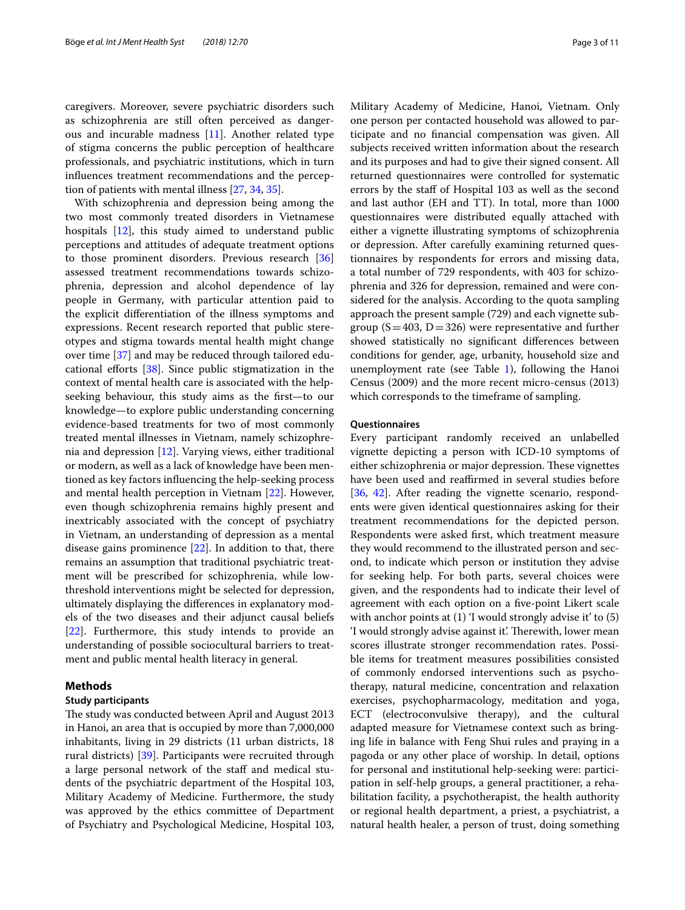caregivers. Moreover, severe psychiatric disorders such as schizophrenia are still often perceived as dangerous and incurable madness [\[11](#page-9-10)]. Another related type of stigma concerns the public perception of healthcare professionals, and psychiatric institutions, which in turn infuences treatment recommendations and the perception of patients with mental illness [[27,](#page-9-25) [34](#page-9-32), [35](#page-9-33)].

With schizophrenia and depression being among the two most commonly treated disorders in Vietnamese hospitals [[12](#page-9-11)], this study aimed to understand public perceptions and attitudes of adequate treatment options to those prominent disorders. Previous research [[36](#page-9-34)] assessed treatment recommendations towards schizophrenia, depression and alcohol dependence of lay people in Germany, with particular attention paid to the explicit diferentiation of the illness symptoms and expressions. Recent research reported that public stereotypes and stigma towards mental health might change over time [\[37](#page-10-0)] and may be reduced through tailored educational eforts [\[38\]](#page-10-1). Since public stigmatization in the context of mental health care is associated with the helpseeking behaviour, this study aims as the frst—to our knowledge—to explore public understanding concerning evidence-based treatments for two of most commonly treated mental illnesses in Vietnam, namely schizophrenia and depression [\[12](#page-9-11)]. Varying views, either traditional or modern, as well as a lack of knowledge have been mentioned as key factors infuencing the help-seeking process and mental health perception in Vietnam [[22\]](#page-9-22). However, even though schizophrenia remains highly present and inextricably associated with the concept of psychiatry in Vietnam, an understanding of depression as a mental disease gains prominence  $[22]$  $[22]$ . In addition to that, there remains an assumption that traditional psychiatric treatment will be prescribed for schizophrenia, while lowthreshold interventions might be selected for depression, ultimately displaying the diferences in explanatory models of the two diseases and their adjunct causal beliefs [[22\]](#page-9-22). Furthermore, this study intends to provide an understanding of possible sociocultural barriers to treatment and public mental health literacy in general.

## **Methods**

## **Study participants**

The study was conducted between April and August 2013 in Hanoi, an area that is occupied by more than 7,000,000 inhabitants, living in 29 districts (11 urban districts, 18 rural districts) [[39\]](#page-10-2). Participants were recruited through a large personal network of the staff and medical students of the psychiatric department of the Hospital 103, Military Academy of Medicine. Furthermore, the study was approved by the ethics committee of Department of Psychiatry and Psychological Medicine, Hospital 103, Military Academy of Medicine, Hanoi, Vietnam. Only one person per contacted household was allowed to participate and no fnancial compensation was given. All subjects received written information about the research and its purposes and had to give their signed consent. All returned questionnaires were controlled for systematic errors by the staf of Hospital 103 as well as the second and last author (EH and TT). In total, more than 1000 questionnaires were distributed equally attached with either a vignette illustrating symptoms of schizophrenia or depression. After carefully examining returned questionnaires by respondents for errors and missing data, a total number of 729 respondents, with 403 for schizophrenia and 326 for depression, remained and were considered for the analysis. According to the quota sampling approach the present sample (729) and each vignette subgroup ( $S=403$ ,  $D=326$ ) were representative and further showed statistically no signifcant diferences between conditions for gender, age, urbanity, household size and unemployment rate (see Table  $1$ ), following the Hanoi Census (2009) and the more recent micro-census (2013) which corresponds to the timeframe of sampling.

#### **Questionnaires**

Every participant randomly received an unlabelled vignette depicting a person with ICD-10 symptoms of either schizophrenia or major depression. These vignettes have been used and reaffirmed in several studies before [[36,](#page-9-34) [42](#page-10-3)]. After reading the vignette scenario, respondents were given identical questionnaires asking for their treatment recommendations for the depicted person. Respondents were asked frst, which treatment measure they would recommend to the illustrated person and second, to indicate which person or institution they advise for seeking help. For both parts, several choices were given, and the respondents had to indicate their level of agreement with each option on a fve-point Likert scale with anchor points at (1) 'I would strongly advise it' to (5) 'I would strongly advise against it'. Therewith, lower mean scores illustrate stronger recommendation rates. Possible items for treatment measures possibilities consisted of commonly endorsed interventions such as psychotherapy, natural medicine, concentration and relaxation exercises, psychopharmacology, meditation and yoga, ECT (electroconvulsive therapy), and the cultural adapted measure for Vietnamese context such as bringing life in balance with Feng Shui rules and praying in a pagoda or any other place of worship. In detail, options for personal and institutional help-seeking were: participation in self-help groups, a general practitioner, a rehabilitation facility, a psychotherapist, the health authority or regional health department, a priest, a psychiatrist, a natural health healer, a person of trust, doing something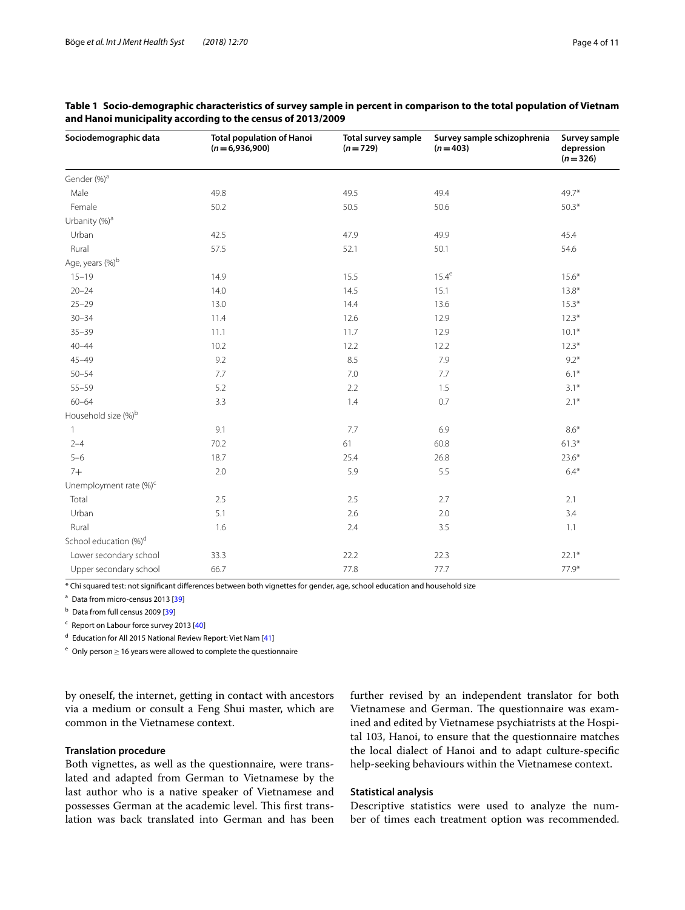| Page 4 of 11 |  |  |
|--------------|--|--|
|              |  |  |

| Sociodemographic data              | <b>Total population of Hanoi</b><br>$(n=6,936,900)$ | Total survey sample<br>$(n=729)$ | Survey sample schizophrenia<br>$(n=403)$ | Survey sample<br>depression<br>$(n=326)$ |
|------------------------------------|-----------------------------------------------------|----------------------------------|------------------------------------------|------------------------------------------|
| Gender (%) <sup>a</sup>            |                                                     |                                  |                                          |                                          |
| Male                               | 49.8                                                | 49.5                             | 49.4                                     | 49.7*                                    |
| Female                             | 50.2                                                | 50.5                             | 50.6                                     | $50.3*$                                  |
| Urbanity (%) <sup>a</sup>          |                                                     |                                  |                                          |                                          |
| Urban                              | 42.5                                                | 47.9                             | 49.9                                     | 45.4                                     |
| Rural                              | 57.5                                                | 52.1                             | 50.1                                     | 54.6                                     |
| Age, years (%) <sup>b</sup>        |                                                     |                                  |                                          |                                          |
| $15 - 19$                          | 14.9                                                | 15.5                             | $15.4^e$                                 | $15.6*$                                  |
| $20 - 24$                          | 14.0                                                | 14.5                             | 15.1                                     | $13.8*$                                  |
| $25 - 29$                          | 13.0                                                | 14.4                             | 13.6                                     | $15.3*$                                  |
| $30 - 34$                          | 11.4                                                | 12.6                             | 12.9                                     | $12.3*$                                  |
| $35 - 39$                          | 11.1                                                | 11.7                             | 12.9                                     | $10.1*$                                  |
| $40 - 44$                          | 10.2                                                | 12.2                             | 12.2                                     | $12.3*$                                  |
| $45 - 49$                          | 9.2                                                 | 8.5                              | 7.9                                      | $9.2*$                                   |
| $50 - 54$                          | 7.7                                                 | 7.0                              | 7.7                                      | $6.1*$                                   |
| $55 - 59$                          | 5.2                                                 | 2.2                              | 1.5                                      | $3.1*$                                   |
| $60 - 64$                          | 3.3                                                 | 1.4                              | 0.7                                      | $2.1*$                                   |
| Household size (%) <sup>b</sup>    |                                                     |                                  |                                          |                                          |
| $\mathbf{1}$                       | 9.1                                                 | 7.7                              | 6.9                                      | $8.6*$                                   |
| $2 - 4$                            | 70.2                                                | 61                               | 60.8                                     | $61.3*$                                  |
| $5 - 6$                            | 18.7                                                | 25.4                             | 26.8                                     | $23.6*$                                  |
| $7+$                               | $2.0\,$                                             | 5.9                              | 5.5                                      | $6.4*$                                   |
| Unemployment rate (%) <sup>c</sup> |                                                     |                                  |                                          |                                          |
| Total                              | 2.5                                                 | 2.5                              | 2.7                                      | 2.1                                      |
| Urban                              | 5.1                                                 | 2.6                              | 2.0                                      | 3.4                                      |
| Rural                              | 1.6                                                 | 2.4                              | 3.5                                      | 1.1                                      |
| School education (%) <sup>d</sup>  |                                                     |                                  |                                          |                                          |
| Lower secondary school             | 33.3                                                | 22.2                             | 22.3                                     | $22.1*$                                  |
| Upper secondary school             | 66.7                                                | 77.8                             | 77.7                                     | 77.9*                                    |

## <span id="page-3-0"></span>**Table 1 Socio-demographic characteristics of survey sample in percent in comparison to the total population of Vietnam and Hanoi municipality according to the census of 2013/2009**

\* Chi squared test: not signifcant diferences between both vignettes for gender, age, school education and household size

<sup>a</sup> Data from micro-census 2013 [\[39\]](#page-10-2)

<sup>b</sup> Data from full census 2009 [\[39\]](#page-10-2)

 $c$  Report on Labour force survey 2013 [[40\]](#page-10-4)

 $d$  Education for All 2015 National Review Report: Viet Nam [\[41\]](#page-10-5)

<sup>e</sup> Only person≥16 years were allowed to complete the questionnaire

by oneself, the internet, getting in contact with ancestors via a medium or consult a Feng Shui master, which are common in the Vietnamese context.

## **Translation procedure**

Both vignettes, as well as the questionnaire, were translated and adapted from German to Vietnamese by the last author who is a native speaker of Vietnamese and possesses German at the academic level. This first translation was back translated into German and has been further revised by an independent translator for both Vietnamese and German. The questionnaire was examined and edited by Vietnamese psychiatrists at the Hospital 103, Hanoi, to ensure that the questionnaire matches the local dialect of Hanoi and to adapt culture-specifc help-seeking behaviours within the Vietnamese context.

## **Statistical analysis**

Descriptive statistics were used to analyze the number of times each treatment option was recommended.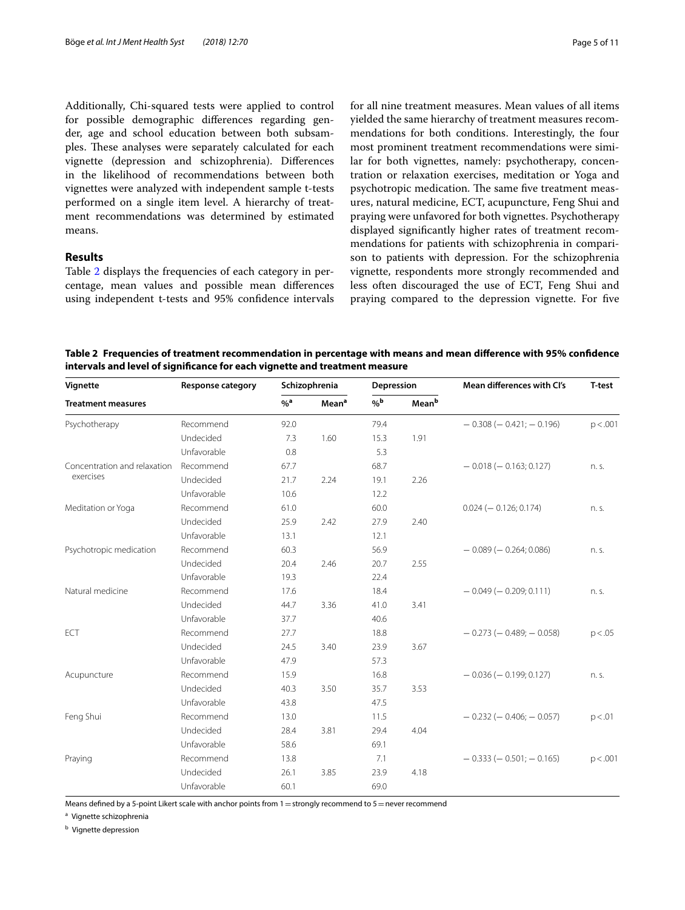Additionally, Chi-squared tests were applied to control for possible demographic diferences regarding gender, age and school education between both subsamples. These analyses were separately calculated for each vignette (depression and schizophrenia). Diferences in the likelihood of recommendations between both vignettes were analyzed with independent sample t-tests performed on a single item level. A hierarchy of treatment recommendations was determined by estimated means.

## **Results**

Table [2](#page-4-0) displays the frequencies of each category in percentage, mean values and possible mean diferences using independent t-tests and 95% confdence intervals for all nine treatment measures. Mean values of all items yielded the same hierarchy of treatment measures recommendations for both conditions. Interestingly, the four most prominent treatment recommendations were similar for both vignettes, namely: psychotherapy, concentration or relaxation exercises, meditation or Yoga and psychotropic medication. The same five treatment measures, natural medicine, ECT, acupuncture, Feng Shui and praying were unfavored for both vignettes. Psychotherapy displayed signifcantly higher rates of treatment recommendations for patients with schizophrenia in comparison to patients with depression. For the schizophrenia vignette, respondents more strongly recommended and less often discouraged the use of ECT, Feng Shui and praying compared to the depression vignette. For fve

<span id="page-4-0"></span>**Table 2 Frequencies of treatment recommendation in percentage with means and mean diference with 95% confdence intervals and level of signifcance for each vignette and treatment measure**

| Vignette                                  | <b>Response category</b> | Schizophrenia    |                   | Depression        |                   | Mean differences with Cl's   | T-test   |
|-------------------------------------------|--------------------------|------------------|-------------------|-------------------|-------------------|------------------------------|----------|
| <b>Treatment measures</b>                 |                          | $%$ <sup>a</sup> | Mean <sup>a</sup> | $\%$ <sub>b</sub> | Mean <sup>b</sup> |                              |          |
| Psychotherapy                             | Recommend                | 92.0             | 1.60              | 79.4              | 1.91              | $-0.308(-0.421,-0.196)$      | p < .001 |
|                                           | Undecided                | 7.3              |                   | 15.3              |                   |                              |          |
|                                           | Unfavorable              | 0.8              |                   | 5.3               |                   |                              |          |
| Concentration and relaxation<br>exercises | Recommend                | 67.7             | 2.24              | 68.7              | 2.26              | $-0.018 (-0.163; 0.127)$     | n. s.    |
|                                           | Undecided                | 21.7             |                   | 19.1              |                   |                              |          |
|                                           | Unfavorable              | 10.6             |                   | 12.2              |                   |                              |          |
| Meditation or Yoga                        | Recommend                | 61.0             | 2.42              | 60.0              | 2.40              | $0.024 (-0.126; 0.174)$      | n. s.    |
|                                           | Undecided                | 25.9             |                   | 27.9              |                   |                              |          |
|                                           | Unfavorable              | 13.1             |                   | 12.1              |                   |                              |          |
| Psychotropic medication                   | Recommend                | 60.3             | 2.46              | 56.9              | 2.55              | $-0.089$ ( $-0.264$ ; 0.086) | n. s.    |
|                                           | Undecided                | 20.4             |                   | 20.7              |                   |                              |          |
|                                           | Unfavorable              | 19.3             |                   | 22.4              |                   |                              |          |
| Natural medicine                          | Recommend                | 17.6             | 3.36              | 18.4              | 3.41              | $-0.049(-0.209; 0.111)$      | n. s.    |
|                                           | Undecided                | 44.7             |                   | 41.0              |                   |                              |          |
|                                           | Unfavorable              | 37.7             |                   | 40.6              |                   |                              |          |
| ECT                                       | Recommend                | 27.7             | 3.40              | 18.8              | 3.67              | $-0.273(-0.489; -0.058)$     | p < .05  |
|                                           | Undecided                | 24.5             |                   | 23.9              |                   |                              |          |
|                                           | Unfavorable              | 47.9             |                   | 57.3              |                   |                              |          |
| Acupuncture                               | Recommend                | 15.9             | 3.50              | 16.8              | 3.53              | $-0.036(-0.199; 0.127)$      | n. s.    |
|                                           | Undecided                | 40.3             |                   | 35.7              |                   |                              |          |
|                                           | Unfavorable              | 43.8             |                   | 47.5              |                   |                              |          |
| Feng Shui                                 | Recommend                | 13.0             | 3.81              | 11.5              | 4.04              | $-0.232(-0.406; -0.057)$     | p < .01  |
|                                           | Undecided                | 28.4             |                   | 29.4              |                   |                              |          |
|                                           | Unfavorable              | 58.6             |                   | 69.1              |                   |                              |          |
| Praying                                   | Recommend                | 13.8             |                   | 7.1               | 4.18              | $-0.333(-0.501,-0.165)$      | p < .001 |
|                                           | Undecided                | 26.1             | 3.85              | 23.9              |                   |                              |          |
|                                           | Unfavorable              | 60.1             |                   | 69.0              |                   |                              |          |

Means defined by a 5-point Likert scale with anchor points from  $1 =$  strongly recommend to 5 = never recommend

<sup>a</sup> Vignette schizophrenia

**b** Vignette depression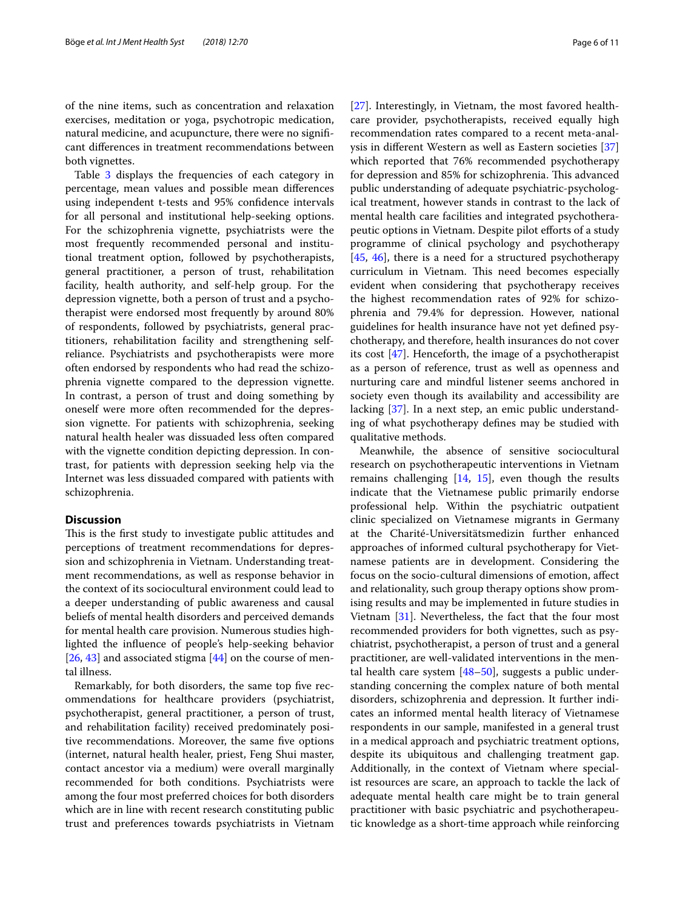of the nine items, such as concentration and relaxation exercises, meditation or yoga, psychotropic medication, natural medicine, and acupuncture, there were no signifcant diferences in treatment recommendations between both vignettes.

Table [3](#page-6-0) displays the frequencies of each category in percentage, mean values and possible mean diferences using independent t-tests and 95% confdence intervals for all personal and institutional help-seeking options. For the schizophrenia vignette, psychiatrists were the most frequently recommended personal and institutional treatment option, followed by psychotherapists, general practitioner, a person of trust, rehabilitation facility, health authority, and self-help group. For the depression vignette, both a person of trust and a psychotherapist were endorsed most frequently by around 80% of respondents, followed by psychiatrists, general practitioners, rehabilitation facility and strengthening selfreliance. Psychiatrists and psychotherapists were more often endorsed by respondents who had read the schizophrenia vignette compared to the depression vignette. In contrast, a person of trust and doing something by oneself were more often recommended for the depression vignette. For patients with schizophrenia, seeking natural health healer was dissuaded less often compared with the vignette condition depicting depression. In contrast, for patients with depression seeking help via the Internet was less dissuaded compared with patients with schizophrenia.

## **Discussion**

This is the first study to investigate public attitudes and perceptions of treatment recommendations for depression and schizophrenia in Vietnam. Understanding treatment recommendations, as well as response behavior in the context of its sociocultural environment could lead to a deeper understanding of public awareness and causal beliefs of mental health disorders and perceived demands for mental health care provision. Numerous studies highlighted the infuence of people's help-seeking behavior [[26,](#page-9-24) [43](#page-10-6)] and associated stigma [[44\]](#page-10-7) on the course of mental illness.

Remarkably, for both disorders, the same top fve recommendations for healthcare providers (psychiatrist, psychotherapist, general practitioner, a person of trust, and rehabilitation facility) received predominately positive recommendations. Moreover, the same five options (internet, natural health healer, priest, Feng Shui master, contact ancestor via a medium) were overall marginally recommended for both conditions. Psychiatrists were among the four most preferred choices for both disorders which are in line with recent research constituting public trust and preferences towards psychiatrists in Vietnam [[27\]](#page-9-25). Interestingly, in Vietnam, the most favored healthcare provider, psychotherapists, received equally high recommendation rates compared to a recent meta-analysis in diferent Western as well as Eastern societies [[37](#page-10-0)] which reported that 76% recommended psychotherapy for depression and 85% for schizophrenia. This advanced public understanding of adequate psychiatric-psychological treatment, however stands in contrast to the lack of mental health care facilities and integrated psychotherapeutic options in Vietnam. Despite pilot efforts of a study programme of clinical psychology and psychotherapy [[45,](#page-10-8) [46](#page-10-9)], there is a need for a structured psychotherapy curriculum in Vietnam. This need becomes especially evident when considering that psychotherapy receives the highest recommendation rates of 92% for schizophrenia and 79.4% for depression. However, national guidelines for health insurance have not yet defned psychotherapy, and therefore, health insurances do not cover its cost [[47](#page-10-10)]. Henceforth, the image of a psychotherapist as a person of reference, trust as well as openness and nurturing care and mindful listener seems anchored in society even though its availability and accessibility are lacking [[37](#page-10-0)]. In a next step, an emic public understanding of what psychotherapy defnes may be studied with qualitative methods.

Meanwhile, the absence of sensitive sociocultural research on psychotherapeutic interventions in Vietnam remains challenging [[14](#page-9-13), [15\]](#page-9-14), even though the results indicate that the Vietnamese public primarily endorse professional help. Within the psychiatric outpatient clinic specialized on Vietnamese migrants in Germany at the Charité-Universitätsmedizin further enhanced approaches of informed cultural psychotherapy for Vietnamese patients are in development. Considering the focus on the socio-cultural dimensions of emotion, afect and relationality, such group therapy options show promising results and may be implemented in future studies in Vietnam [[31](#page-9-29)]. Nevertheless, the fact that the four most recommended providers for both vignettes, such as psychiatrist, psychotherapist, a person of trust and a general practitioner, are well-validated interventions in the mental health care system  $[48-50]$  $[48-50]$  $[48-50]$ , suggests a public understanding concerning the complex nature of both mental disorders, schizophrenia and depression. It further indicates an informed mental health literacy of Vietnamese respondents in our sample, manifested in a general trust in a medical approach and psychiatric treatment options, despite its ubiquitous and challenging treatment gap. Additionally, in the context of Vietnam where specialist resources are scare, an approach to tackle the lack of adequate mental health care might be to train general practitioner with basic psychiatric and psychotherapeutic knowledge as a short-time approach while reinforcing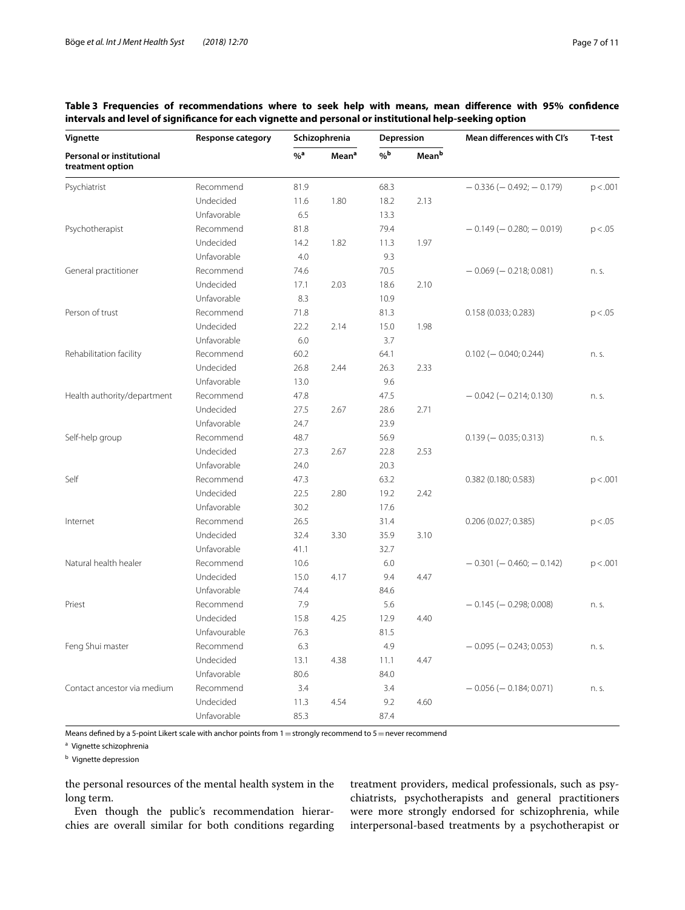| Vignette                                      | <b>Response category</b> | Schizophrenia     |                   | Depression        |               | Mean differences with Cl's   | T-test   |
|-----------------------------------------------|--------------------------|-------------------|-------------------|-------------------|---------------|------------------------------|----------|
| Personal or institutional<br>treatment option |                          | $\%$ <sup>a</sup> | Mean <sup>a</sup> | $\%$ <sub>b</sub> | <b>Mean</b> b |                              |          |
| Psychiatrist                                  | Recommend                | 81.9              |                   | 68.3              |               | $-0.336(-0.492; -0.179)$     | p < .001 |
|                                               | Undecided                | 11.6              | 1.80              | 18.2              | 2.13          |                              |          |
|                                               | Unfavorable              | 6.5               |                   | 13.3              |               |                              |          |
| Psychotherapist                               | Recommend                | 81.8              |                   | 79.4              |               | $-0.149(-0.280,-0.019)$      | p < .05  |
|                                               | Undecided                | 14.2              | 1.82              | 11.3              | 1.97          |                              |          |
|                                               | Unfavorable              | 4.0               |                   | 9.3               |               |                              |          |
| General practitioner                          | Recommend                | 74.6              |                   | 70.5              |               | $-0.069$ ( $-0.218$ ; 0.081) | n. s.    |
|                                               | Undecided                | 17.1              | 2.03              | 18.6              | 2.10          |                              |          |
|                                               | Unfavorable              | 8.3               |                   | 10.9              |               |                              |          |
| Person of trust                               | Recommend                | 71.8              |                   | 81.3              |               | 0.158(0.033; 0.283)          | p < .05  |
|                                               | Undecided                | 22.2              | 2.14              | 15.0              | 1.98          |                              |          |
|                                               | Unfavorable              | 6.0               |                   | 3.7               |               |                              |          |
| Rehabilitation facility                       | Recommend                | 60.2              |                   | 64.1              |               | $0.102$ (- 0.040; 0.244)     | n. s.    |
|                                               | Undecided                | 26.8              | 2.44              | 26.3              | 2.33          |                              |          |
|                                               | Unfavorable              | 13.0              |                   | 9.6               |               |                              |          |
| Health authority/department                   | Recommend                | 47.8              |                   | 47.5              |               | $-0.042$ ( $-0.214$ ; 0.130) | n. s.    |
|                                               | Undecided                | 27.5              | 2.67              | 28.6              | 2.71          |                              |          |
|                                               | Unfavorable              | 24.7              |                   | 23.9              |               |                              |          |
| Self-help group                               | Recommend                | 48.7              |                   | 56.9              |               | $0.139 (-0.035; 0.313)$      | n. s.    |
|                                               | Undecided                | 27.3              | 2.67              | 22.8              | 2.53          |                              |          |
|                                               | Unfavorable              | 24.0              |                   | 20.3              |               |                              |          |
| Self                                          | Recommend                | 47.3              |                   | 63.2              |               | 0.382(0.180; 0.583)          | p < .001 |
|                                               | Undecided                | 22.5              | 2.80              | 19.2              | 2.42          |                              |          |
|                                               | Unfavorable              | 30.2              |                   | 17.6              |               |                              |          |
| Internet                                      | Recommend                | 26.5              |                   | 31.4              |               | 0.206(0.027; 0.385)          | p < .05  |
|                                               | Undecided                | 32.4              | 3.30              | 35.9              | 3.10          |                              |          |
|                                               | Unfavorable              | 41.1              |                   | 32.7              |               |                              |          |
| Natural health healer                         | Recommend                | 10.6              |                   | 6.0               |               | $-0.301(-0.460,-0.142)$      | p < .001 |
|                                               | Undecided                | 15.0              | 4.17              | 9.4               | 4.47          |                              |          |
|                                               | Unfavorable              | 74.4              |                   | 84.6              |               |                              |          |
| Priest                                        | Recommend                | 7.9               |                   | 5.6               |               | $-0.145$ ( $-0.298$ ; 0.008) | n. s.    |
|                                               | Undecided                | 15.8              | 4.25              | 12.9              | 4.40          |                              |          |
|                                               | Unfavourable             | 76.3              |                   | 81.5              |               |                              |          |
| Feng Shui master                              | Recommend                | 6.3               |                   | 4.9               |               | $-0.095$ ( $-0.243; 0.053$ ) | n. s.    |
|                                               | Undecided                | 13.1              | 4.38              | 11.1              | 4.47          |                              |          |
|                                               | Unfavorable              | 80.6              |                   | 84.0              |               |                              |          |
| Contact ancestor via medium                   | Recommend                | 3.4               |                   | 3.4               |               | $-0.056$ ( $-0.184; 0.071$ ) | n. s.    |
|                                               | Undecided                | 11.3              | 4.54              | 9.2               | 4.60          |                              |          |
|                                               | Unfavorable              | 85.3              |                   | 87.4              |               |                              |          |

## <span id="page-6-0"></span>**Table 3 Frequencies of recommendations where to seek help with means, mean diference with 95% confdence intervals and level of signifcance for each vignette and personal or institutional help-seeking option**

Means defined by a 5-point Likert scale with anchor points from 1 = strongly recommend to 5 = never recommend

<sup>a</sup> Vignette schizophrenia

<sup>b</sup> Vignette depression

the personal resources of the mental health system in the long term.

Even though the public's recommendation hierarchies are overall similar for both conditions regarding treatment providers, medical professionals, such as psychiatrists, psychotherapists and general practitioners were more strongly endorsed for schizophrenia, while interpersonal-based treatments by a psychotherapist or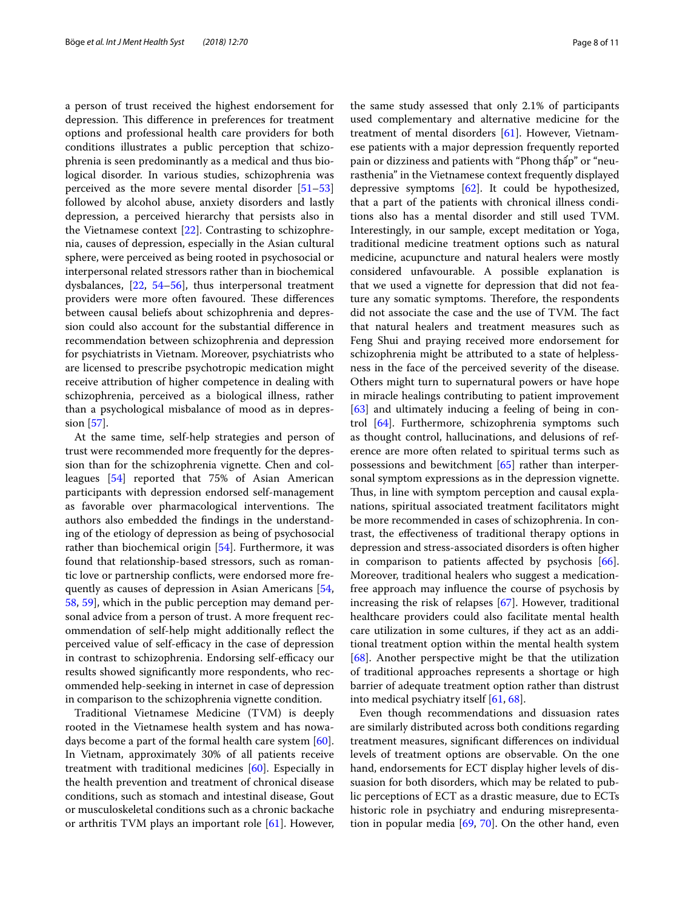a person of trust received the highest endorsement for depression. This difference in preferences for treatment options and professional health care providers for both conditions illustrates a public perception that schizophrenia is seen predominantly as a medical and thus biological disorder. In various studies, schizophrenia was perceived as the more severe mental disorder [[51–](#page-10-13)[53](#page-10-14)] followed by alcohol abuse, anxiety disorders and lastly depression, a perceived hierarchy that persists also in the Vietnamese context [[22](#page-9-22)]. Contrasting to schizophrenia, causes of depression, especially in the Asian cultural sphere, were perceived as being rooted in psychosocial or interpersonal related stressors rather than in biochemical dysbalances, [[22](#page-9-22), [54](#page-10-15)[–56](#page-10-16)], thus interpersonal treatment providers were more often favoured. These differences between causal beliefs about schizophrenia and depression could also account for the substantial diference in recommendation between schizophrenia and depression for psychiatrists in Vietnam. Moreover, psychiatrists who are licensed to prescribe psychotropic medication might receive attribution of higher competence in dealing with schizophrenia, perceived as a biological illness, rather than a psychological misbalance of mood as in depression [\[57](#page-10-17)].

At the same time, self-help strategies and person of trust were recommended more frequently for the depression than for the schizophrenia vignette. Chen and colleagues [[54](#page-10-15)] reported that 75% of Asian American participants with depression endorsed self-management as favorable over pharmacological interventions. The authors also embedded the fndings in the understanding of the etiology of depression as being of psychosocial rather than biochemical origin [[54\]](#page-10-15). Furthermore, it was found that relationship-based stressors, such as romantic love or partnership conficts, were endorsed more frequently as causes of depression in Asian Americans [\[54](#page-10-15), [58,](#page-10-18) [59](#page-10-19)], which in the public perception may demand personal advice from a person of trust. A more frequent recommendation of self-help might additionally refect the perceived value of self-efficacy in the case of depression in contrast to schizophrenia. Endorsing self-efficacy our results showed signifcantly more respondents, who recommended help-seeking in internet in case of depression in comparison to the schizophrenia vignette condition.

Traditional Vietnamese Medicine (TVM) is deeply rooted in the Vietnamese health system and has nowadays become a part of the formal health care system [\[60](#page-10-20)]. In Vietnam, approximately 30% of all patients receive treatment with traditional medicines [[60\]](#page-10-20). Especially in the health prevention and treatment of chronical disease conditions, such as stomach and intestinal disease, Gout or musculoskeletal conditions such as a chronic backache or arthritis TVM plays an important role [[61\]](#page-10-21). However, the same study assessed that only 2.1% of participants used complementary and alternative medicine for the treatment of mental disorders [\[61](#page-10-21)]. However, Vietnamese patients with a major depression frequently reported pain or dizziness and patients with "Phong thấp" or "neurasthenia" in the Vietnamese context frequently displayed depressive symptoms [\[62](#page-10-22)]. It could be hypothesized, that a part of the patients with chronical illness conditions also has a mental disorder and still used TVM. Interestingly, in our sample, except meditation or Yoga, traditional medicine treatment options such as natural medicine, acupuncture and natural healers were mostly considered unfavourable. A possible explanation is that we used a vignette for depression that did not feature any somatic symptoms. Therefore, the respondents did not associate the case and the use of TVM. The fact that natural healers and treatment measures such as Feng Shui and praying received more endorsement for schizophrenia might be attributed to a state of helplessness in the face of the perceived severity of the disease. Others might turn to supernatural powers or have hope in miracle healings contributing to patient improvement [[63\]](#page-10-23) and ultimately inducing a feeling of being in control [\[64\]](#page-10-24). Furthermore, schizophrenia symptoms such as thought control, hallucinations, and delusions of reference are more often related to spiritual terms such as possessions and bewitchment [\[65\]](#page-10-25) rather than interpersonal symptom expressions as in the depression vignette. Thus, in line with symptom perception and causal explanations, spiritual associated treatment facilitators might be more recommended in cases of schizophrenia. In contrast, the efectiveness of traditional therapy options in depression and stress-associated disorders is often higher in comparison to patients afected by psychosis [\[66](#page-10-26)]. Moreover, traditional healers who suggest a medicationfree approach may infuence the course of psychosis by increasing the risk of relapses [\[67](#page-10-27)]. However, traditional healthcare providers could also facilitate mental health care utilization in some cultures, if they act as an additional treatment option within the mental health system [[68\]](#page-10-28). Another perspective might be that the utilization of traditional approaches represents a shortage or high barrier of adequate treatment option rather than distrust into medical psychiatry itself [[61,](#page-10-21) [68](#page-10-28)].

Even though recommendations and dissuasion rates are similarly distributed across both conditions regarding treatment measures, signifcant diferences on individual levels of treatment options are observable. On the one hand, endorsements for ECT display higher levels of dissuasion for both disorders, which may be related to public perceptions of ECT as a drastic measure, due to ECTs historic role in psychiatry and enduring misrepresentation in popular media [\[69](#page-10-29), [70](#page-10-30)]. On the other hand, even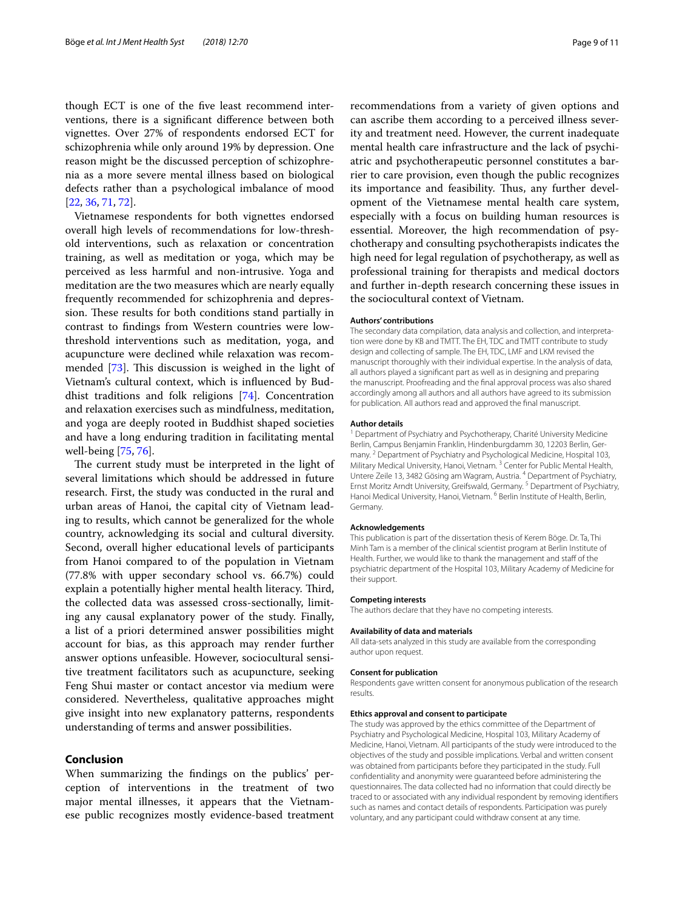though ECT is one of the fve least recommend interventions, there is a signifcant diference between both vignettes. Over 27% of respondents endorsed ECT for schizophrenia while only around 19% by depression. One reason might be the discussed perception of schizophrenia as a more severe mental illness based on biological defects rather than a psychological imbalance of mood [[22,](#page-9-22) [36](#page-9-34), [71](#page-10-31), [72\]](#page-10-32).

Vietnamese respondents for both vignettes endorsed overall high levels of recommendations for low-threshold interventions, such as relaxation or concentration training, as well as meditation or yoga, which may be perceived as less harmful and non-intrusive. Yoga and meditation are the two measures which are nearly equally frequently recommended for schizophrenia and depression. These results for both conditions stand partially in contrast to fndings from Western countries were lowthreshold interventions such as meditation, yoga, and acupuncture were declined while relaxation was recommended  $[73]$  $[73]$ . This discussion is weighed in the light of Vietnam's cultural context, which is infuenced by Buddhist traditions and folk religions [[74\]](#page-10-34). Concentration and relaxation exercises such as mindfulness, meditation, and yoga are deeply rooted in Buddhist shaped societies and have a long enduring tradition in facilitating mental well-being [[75,](#page-10-35) [76\]](#page-10-36).

The current study must be interpreted in the light of several limitations which should be addressed in future research. First, the study was conducted in the rural and urban areas of Hanoi, the capital city of Vietnam leading to results, which cannot be generalized for the whole country, acknowledging its social and cultural diversity. Second, overall higher educational levels of participants from Hanoi compared to of the population in Vietnam (77.8% with upper secondary school vs. 66.7%) could explain a potentially higher mental health literacy. Third, the collected data was assessed cross-sectionally, limiting any causal explanatory power of the study. Finally, a list of a priori determined answer possibilities might account for bias, as this approach may render further answer options unfeasible. However, sociocultural sensitive treatment facilitators such as acupuncture, seeking Feng Shui master or contact ancestor via medium were considered. Nevertheless, qualitative approaches might give insight into new explanatory patterns, respondents understanding of terms and answer possibilities.

## **Conclusion**

When summarizing the fndings on the publics' perception of interventions in the treatment of two major mental illnesses, it appears that the Vietnamese public recognizes mostly evidence-based treatment

recommendations from a variety of given options and can ascribe them according to a perceived illness severity and treatment need. However, the current inadequate mental health care infrastructure and the lack of psychiatric and psychotherapeutic personnel constitutes a barrier to care provision, even though the public recognizes its importance and feasibility. Thus, any further development of the Vietnamese mental health care system, especially with a focus on building human resources is essential. Moreover, the high recommendation of psychotherapy and consulting psychotherapists indicates the high need for legal regulation of psychotherapy, as well as professional training for therapists and medical doctors and further in-depth research concerning these issues in the sociocultural context of Vietnam.

#### **Authors' contributions**

The secondary data compilation, data analysis and collection, and interpretation were done by KB and TMTT. The EH, TDC and TMTT contribute to study design and collecting of sample. The EH, TDC, LMF and LKM revised the manuscript thoroughly with their individual expertise. In the analysis of data, all authors played a signifcant part as well as in designing and preparing the manuscript. Proofreading and the fnal approval process was also shared accordingly among all authors and all authors have agreed to its submission for publication. All authors read and approved the fnal manuscript.

#### **Author details**

<sup>1</sup> Department of Psychiatry and Psychotherapy, Charité University Medicine Berlin, Campus Benjamin Franklin, Hindenburgdamm 30, 12203 Berlin, Germany. <sup>2</sup> Department of Psychiatry and Psychological Medicine, Hospital 103, Military Medical University, Hanoi, Vietnam. <sup>3</sup> Center for Public Mental Health, Untere Zeile 13, 3482 Gösing am Wagram, Austria. 4 Department of Psychiatry, Ernst Moritz Arndt University, Greifswald, Germany. 5 Department of Psychiatry, Hanoi Medical University, Hanoi, Vietnam. <sup>6</sup> Berlin Institute of Health, Berlin, Germany.

#### **Acknowledgements**

This publication is part of the dissertation thesis of Kerem Böge. Dr. Ta, Thi Minh Tam is a member of the clinical scientist program at Berlin Institute of Health. Further, we would like to thank the management and staff of the psychiatric department of the Hospital 103, Military Academy of Medicine for their support.

#### **Competing interests**

The authors declare that they have no competing interests.

#### **Availability of data and materials**

All data-sets analyzed in this study are available from the corresponding author upon request.

#### **Consent for publication**

Respondents gave written consent for anonymous publication of the research results.

#### **Ethics approval and consent to participate**

The study was approved by the ethics committee of the Department of Psychiatry and Psychological Medicine, Hospital 103, Military Academy of Medicine, Hanoi, Vietnam. All participants of the study were introduced to the objectives of the study and possible implications. Verbal and written consent was obtained from participants before they participated in the study. Full confdentiality and anonymity were guaranteed before administering the questionnaires. The data collected had no information that could directly be traced to or associated with any individual respondent by removing identifers such as names and contact details of respondents. Participation was purely voluntary, and any participant could withdraw consent at any time.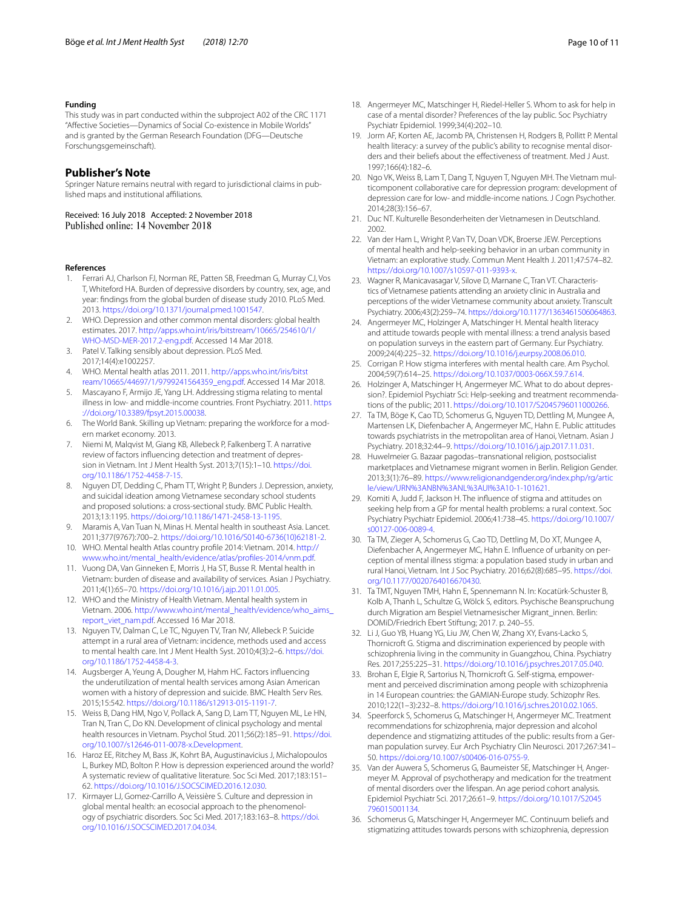#### **Funding**

This study was in part conducted within the subproject A02 of the CRC 1171 "Afective Societies—Dynamics of Social Co-existence in Mobile Worlds" and is granted by the German Research Foundation (DFG—Deutsche Forschungsgemeinschaft).

#### **Publisher's Note**

Springer Nature remains neutral with regard to jurisdictional claims in published maps and institutional afliations.

Received: 16 July 2018 Accepted: 2 November 2018

#### **References**

- <span id="page-9-0"></span>1. Ferrari AJ, Charlson FJ, Norman RE, Patten SB, Freedman G, Murray CJ, Vos T, Whiteford HA. Burden of depressive disorders by country, sex, age, and year: fndings from the global burden of disease study 2010. PLoS Med. 2013.<https://doi.org/10.1371/journal.pmed.1001547>.
- <span id="page-9-1"></span>2. WHO. Depression and other common mental disorders: global health estimates. 2017. [http://apps.who.int/iris/bitstream/10665/254610/1/](http://apps.who.int/iris/bitstream/10665/254610/1/WHO-MSD-MER-2017.2-eng.pdf) [WHO-MSD-MER-2017.2-eng.pdf.](http://apps.who.int/iris/bitstream/10665/254610/1/WHO-MSD-MER-2017.2-eng.pdf) Accessed 14 Mar 2018.
- <span id="page-9-2"></span>3. Patel V. Talking sensibly about depression. PLoS Med. 2017;14(4):e1002257.
- <span id="page-9-3"></span>4. WHO. Mental health atlas 2011. 2011. [http://apps.who.int/iris/bitst](http://apps.who.int/iris/bitstream/10665/44697/1/9799241564359_eng.pdf) [ream/10665/44697/1/9799241564359\\_eng.pdf](http://apps.who.int/iris/bitstream/10665/44697/1/9799241564359_eng.pdf). Accessed 14 Mar 2018.
- <span id="page-9-4"></span>5. Mascayano F, Armijo JE, Yang LH. Addressing stigma relating to mental illness in low- and middle-income countries. Front Psychiatry. 2011. [https](https://doi.org/10.3389/fpsyt.2015.00038) [://doi.org/10.3389/fpsyt.2015.00038](https://doi.org/10.3389/fpsyt.2015.00038).
- <span id="page-9-5"></span>6. The World Bank. Skilling up Vietnam: preparing the workforce for a modern market economy. 2013.
- <span id="page-9-6"></span>7. Niemi M, Malqvist M, Giang KB, Allebeck P, Falkenberg T. A narrative review of factors infuencing detection and treatment of depression in Vietnam. Int J Ment Health Syst. 2013;7(15):1–10. [https://doi.](https://doi.org/10.1186/1752-4458-7-15) [org/10.1186/1752-4458-7-15](https://doi.org/10.1186/1752-4458-7-15).
- <span id="page-9-7"></span>8. Nguyen DT, Dedding C, Pham TT, Wright P, Bunders J. Depression, anxiety, and suicidal ideation among Vietnamese secondary school students and proposed solutions: a cross-sectional study. BMC Public Health. 2013;13:1195. [https://doi.org/10.1186/1471-2458-13-1195.](https://doi.org/10.1186/1471-2458-13-1195)
- <span id="page-9-8"></span>Maramis A, Van Tuan N, Minas H. Mental health in southeast Asia. Lancet. 2011;377(9767):700–2. [https://doi.org/10.1016/S0140-6736\(10\)62181-2](https://doi.org/10.1016/S0140-6736(10)62181-2).
- <span id="page-9-9"></span>10. WHO. Mental health Atlas country profle 2014: Vietnam. 2014. [http://](http://www.who.int/mental_health/evidence/atlas/profiles-2014/vnm.pdf) [www.who.int/mental\\_health/evidence/atlas/profles-2014/vnm.pdf](http://www.who.int/mental_health/evidence/atlas/profiles-2014/vnm.pdf).
- <span id="page-9-10"></span>11. Vuong DA, Van Ginneken E, Morris J, Ha ST, Busse R. Mental health in Vietnam: burden of disease and availability of services. Asian J Psychiatry. 2011;4(1):65–70. <https://doi.org/10.1016/j.ajp.2011.01.005>.
- <span id="page-9-11"></span>12. WHO and the Ministry of Health Vietnam. Mental health system in Vietnam. 2006. [http://www.who.int/mental\\_health/evidence/who\\_aims\\_](http://www.who.int/mental_health/evidence/who_aims_report_viet_nam.pdf) [report\\_viet\\_nam.pdf.](http://www.who.int/mental_health/evidence/who_aims_report_viet_nam.pdf) Accessed 16 Mar 2018.
- <span id="page-9-12"></span>13. Nguyen TV, Dalman C, Le TC, Nguyen TV, Tran NV, Allebeck P. Suicide attempt in a rural area of Vietnam: incidence, methods used and access to mental health care. Int J Ment Health Syst. 2010;4(3):2–6. [https://doi.](https://doi.org/10.1186/1752-4458-4-3) [org/10.1186/1752-4458-4-3.](https://doi.org/10.1186/1752-4458-4-3)
- <span id="page-9-13"></span>14. Augsberger A, Yeung A, Dougher M, Hahm HC. Factors infuencing the underutilization of mental health services among Asian American women with a history of depression and suicide. BMC Health Serv Res. 2015;15:542.<https://doi.org/10.1186/s12913-015-1191-7>.
- <span id="page-9-14"></span>15. Weiss B, Dang HM, Ngo V, Pollack A, Sang D, Lam TT, Nguyen ML, Le HN, Tran N, Tran C, Do KN. Development of clinical psychology and mental health resources in Vietnam. Psychol Stud. 2011;56(2):185–91. [https://doi.](https://doi.org/10.1007/s12646-011-0078-x.Development) [org/10.1007/s12646-011-0078-x.Development.](https://doi.org/10.1007/s12646-011-0078-x.Development)
- <span id="page-9-15"></span>16. Haroz EE, Ritchey M, Bass JK, Kohrt BA, Augustinavicius J, Michalopoulos L, Burkey MD, Bolton P. How is depression experienced around the world? A systematic review of qualitative literature. Soc Sci Med. 2017;183:151– 62. [https://doi.org/10.1016/J.SOCSCIMED.2016.12.030.](https://doi.org/10.1016/J.SOCSCIMED.2016.12.030)
- <span id="page-9-16"></span>17. Kirmayer LJ, Gomez-Carrillo A, Veissière S. Culture and depression in global mental health: an ecosocial approach to the phenomenology of psychiatric disorders. Soc Sci Med. 2017;183:163–8. [https://doi.](https://doi.org/10.1016/J.SOCSCIMED.2017.04.034) [org/10.1016/J.SOCSCIMED.2017.04.034](https://doi.org/10.1016/J.SOCSCIMED.2017.04.034).
- <span id="page-9-17"></span>18. Angermeyer MC, Matschinger H, Riedel-Heller S. Whom to ask for help in case of a mental disorder? Preferences of the lay public. Soc Psychiatry Psychiatr Epidemiol. 1999;34(4):202–10.
- <span id="page-9-18"></span>19. Jorm AF, Korten AE, Jacomb PA, Christensen H, Rodgers B, Pollitt P. Mental health literacy: a survey of the public's ability to recognise mental disorders and their beliefs about the efectiveness of treatment. Med J Aust. 1997;166(4):182–6.
- <span id="page-9-19"></span>20. Ngo VK, Weiss B, Lam T, Dang T, Nguyen T, Nguyen MH. The Vietnam multicomponent collaborative care for depression program: development of depression care for low- and middle-income nations. J Cogn Psychother. 2014;28(3):156–67.
- <span id="page-9-20"></span>21. Duc NT. Kulturelle Besonderheiten der Vietnamesen in Deutschland. 2002.
- <span id="page-9-22"></span>22. Van der Ham L, Wright P, Van TV, Doan VDK, Broerse JEW. Perceptions of mental health and help-seeking behavior in an urban community in Vietnam: an explorative study. Commun Ment Health J. 2011;47:574–82. <https://doi.org/10.1007/s10597-011-9393-x>.
- <span id="page-9-21"></span>23. Wagner R, Manicavasagar V, Silove D, Marnane C, Tran VT. Characteristics of Vietnamese patients attending an anxiety clinic in Australia and perceptions of the wider Vietnamese community about anxiety. Transcult Psychiatry. 2006;43(2):259–74. [https://doi.org/10.1177/1363461506064863.](https://doi.org/10.1177/1363461506064863)
- <span id="page-9-23"></span>24. Angermeyer MC, Holzinger A, Matschinger H. Mental health literacy and attitude towards people with mental illness: a trend analysis based on population surveys in the eastern part of Germany. Eur Psychiatry. 2009;24(4):225–32. <https://doi.org/10.1016/j.eurpsy.2008.06.010>.
- 25. Corrigan P. How stigma interferes with mental health care. Am Psychol. 2004;59(7):614–25. [https://doi.org/10.1037/0003-066X.59.7.614.](https://doi.org/10.1037/0003-066X.59.7.614)
- <span id="page-9-24"></span>26. Holzinger A, Matschinger H, Angermeyer MC. What to do about depression?. Epidemiol Psychiatr Sci: Help-seeking and treatment recommendations of the public; 2011. <https://doi.org/10.1017/S2045796011000266>.
- <span id="page-9-25"></span>27. Ta TM, Böge K, Cao TD, Schomerus G, Nguyen TD, Dettling M, Mungee A, Martensen LK, Diefenbacher A, Angermeyer MC, Hahn E. Public attitudes towards psychiatrists in the metropolitan area of Hanoi, Vietnam. Asian J Psychiatry. 2018;32:44–9. <https://doi.org/10.1016/j.ajp.2017.11.031>.
- <span id="page-9-26"></span>28. Huwelmeier G. Bazaar pagodas–transnational religion, postsocialist marketplaces and Vietnamese migrant women in Berlin. Religion Gender. 2013;3(1):76–89. [https://www.religionandgender.org/index.php/rg/artic](https://www.religionandgender.org/index.php/rg/article/view/URN%253ANBN%253ANL%253AUI%253A10-1-101621) [le/view/URN%3ANBN%3ANL%3AUI%3A10-1-101621.](https://www.religionandgender.org/index.php/rg/article/view/URN%253ANBN%253ANL%253AUI%253A10-1-101621)
- <span id="page-9-27"></span>29. Komiti A, Judd F, Jackson H. The infuence of stigma and attitudes on seeking help from a GP for mental health problems: a rural context. Soc Psychiatry Psychiatr Epidemiol. 2006;41:738–45. [https://doi.org/10.1007/](https://doi.org/10.1007/s00127-006-0089-4) [s00127-006-0089-4.](https://doi.org/10.1007/s00127-006-0089-4)
- <span id="page-9-28"></span>30. Ta TM, Zieger A, Schomerus G, Cao TD, Dettling M, Do XT, Mungee A, Diefenbacher A, Angermeyer MC, Hahn E. Infuence of urbanity on perception of mental illness stigma: a population based study in urban and rural Hanoi, Vietnam. Int J Soc Psychiatry. 2016;62(8):685–95. [https://doi.](https://doi.org/10.1177/0020764016670430) [org/10.1177/0020764016670430](https://doi.org/10.1177/0020764016670430).
- <span id="page-9-29"></span>31. Ta TMT, Nguyen TMH, Hahn E, Spennemann N. In: Kocatürk-Schuster B, Kolb A, Thanh L, Schultze G, Wölck S, editors. Psychische Beanspruchung durch Migration am Bespiel Vietnamesischer Migrant\_innen. Berlin: DOMiD/Friedrich Ebert Stiftung; 2017. p. 240–55.
- <span id="page-9-30"></span>32. Li J, Guo YB, Huang YG, Liu JW, Chen W, Zhang XY, Evans-Lacko S, Thornicroft G. Stigma and discrimination experienced by people with schizophrenia living in the community in Guangzhou, China. Psychiatry Res. 2017;255:225–31. [https://doi.org/10.1016/j.psychres.2017.05.040.](https://doi.org/10.1016/j.psychres.2017.05.040)
- <span id="page-9-31"></span>33. Brohan E, Elgie R, Sartorius N, Thornicroft G. Self-stigma, empowerment and perceived discrimination among people with schizophrenia in 14 European countries: the GAMIAN-Europe study. Schizophr Res. 2010;122(1–3):232–8.<https://doi.org/10.1016/j.schres.2010.02.1065>.
- <span id="page-9-32"></span>34. Speerforck S, Schomerus G, Matschinger H, Angermeyer MC. Treatment recommendations for schizophrenia, major depression and alcohol dependence and stigmatizing attitudes of the public: results from a German population survey. Eur Arch Psychiatry Clin Neurosci. 2017;267:341– 50. [https://doi.org/10.1007/s00406-016-0755-9.](https://doi.org/10.1007/s00406-016-0755-9)
- <span id="page-9-33"></span>35. Van der Auwera S, Schomerus G, Baumeister SE, Matschinger H, Angermeyer M. Approval of psychotherapy and medication for the treatment of mental disorders over the lifespan. An age period cohort analysis. Epidemiol Psychiatr Sci. 2017;26:61–9. [https://doi.org/10.1017/S2045](https://doi.org/10.1017/S2045796015001134) [796015001134.](https://doi.org/10.1017/S2045796015001134)
- <span id="page-9-34"></span>36. Schomerus G, Matschinger H, Angermeyer MC. Continuum beliefs and stigmatizing attitudes towards persons with schizophrenia, depression